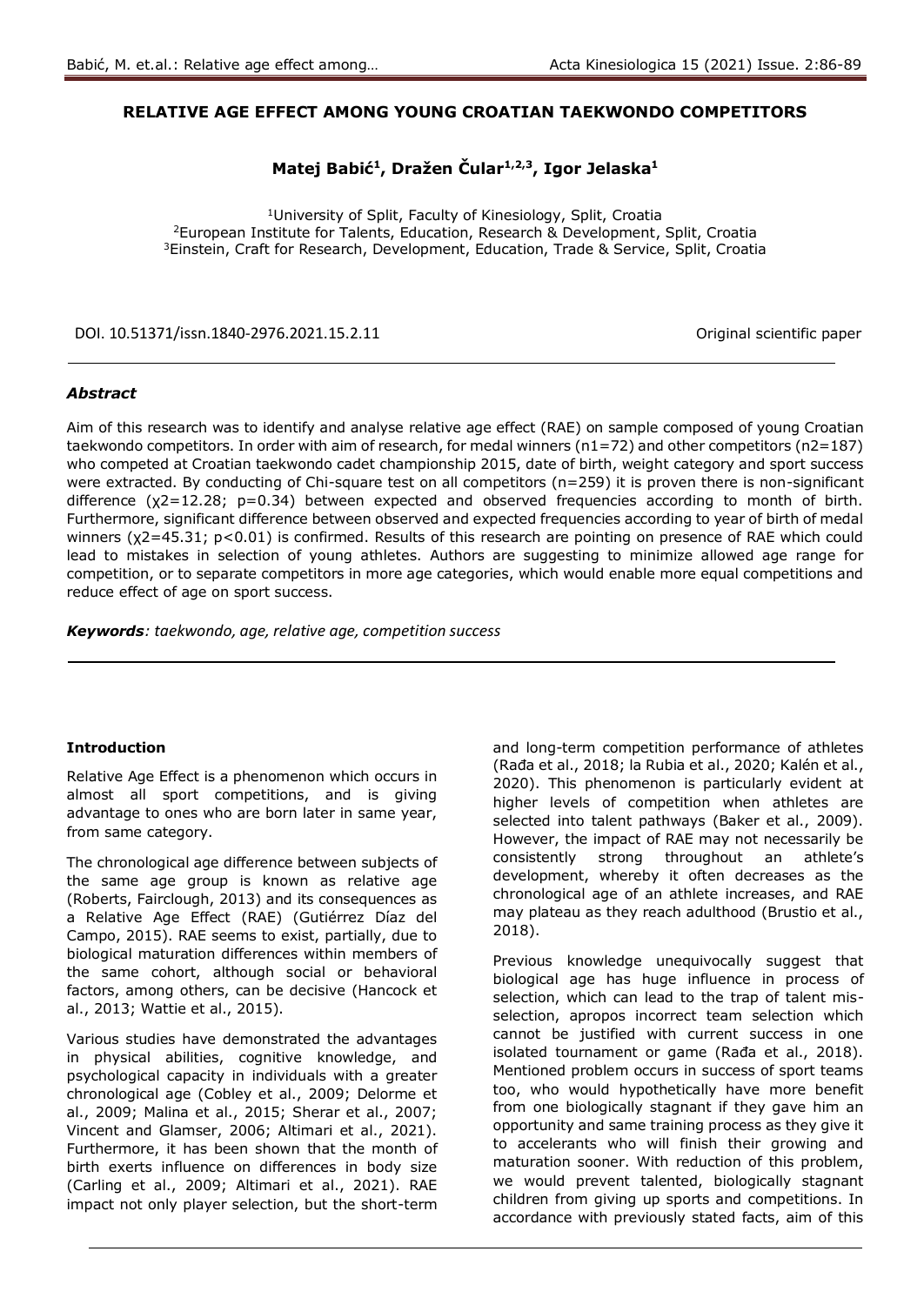## **RELATIVE AGE EFFECT AMONG YOUNG CROATIAN TAEKWONDO COMPETITORS**

# **Matej Babić<sup>1</sup> , Dražen Čular1,2,3, Igor Jelaska<sup>1</sup>**

<sup>1</sup>University of Split, Faculty of Kinesiology, Split, Croatia <sup>2</sup>European Institute for Talents, Education, Research & Development, Split, Croatia <sup>3</sup>Einstein, Craft for Research, Development, Education, Trade & Service, Split, Croatia

DOI. 10.51371/issn.1840-2976.2021.15.2.11 Original scientific paper

## *Abstract*

Aim of this research was to identify and analyse relative age effect (RAE) on sample composed of young Croatian taekwondo competitors. In order with aim of research, for medal winners (n1=72) and other competitors (n2=187) who competed at Croatian taekwondo cadet championship 2015, date of birth, weight category and sport success were extracted. By conducting of Chi-square test on all competitors (n=259) it is proven there is non-significant difference (χ2=12.28; p=0.34) between expected and observed frequencies according to month of birth. Furthermore, significant difference between observed and expected frequencies according to year of birth of medal winners (χ2=45.31; p<0.01) is confirmed. Results of this research are pointing on presence of RAE which could lead to mistakes in selection of young athletes. Authors are suggesting to minimize allowed age range for competition, or to separate competitors in more age categories, which would enable more equal competitions and reduce effect of age on sport success.

*Keywords: taekwondo, age, relative age, competition success* 

#### **Introduction**

Relative Age Effect is a phenomenon which occurs in almost all sport competitions, and is giving advantage to ones who are born later in same year, from same category.

The chronological age difference between subjects of the same age group is known as relative age (Roberts, Fairclough, 2013) and its consequences as a Relative Age Effect (RAE) (Gutiérrez Díaz del Campo, 2015). RAE seems to exist, partially, due to biological maturation differences within members of the same cohort, although social or behavioral factors, among others, can be decisive (Hancock et al., 2013; Wattie et al., 2015).

Various studies have demonstrated the advantages in physical abilities, cognitive knowledge, and psychological capacity in individuals with a greater chronological age (Cobley et al., 2009; Delorme et al., 2009; Malina et al., 2015; Sherar et al., 2007; Vincent and Glamser, 2006; Altimari et al., 2021). Furthermore, it has been shown that the month of birth exerts influence on differences in body size (Carling et al., 2009; Altimari et al., 2021). RAE impact not only player selection, but the short-term

and long-term competition performance of athletes (Rađa et al., 2018; la Rubia et al., 2020; Kalén et al., 2020). This phenomenon is particularly evident at higher levels of competition when athletes are selected into talent pathways (Baker et al., 2009). However, the impact of RAE may not necessarily be consistently strong throughout an athlete's development, whereby it often decreases as the chronological age of an athlete increases, and RAE may plateau as they reach adulthood (Brustio et al., 2018).

Previous knowledge unequivocally suggest that biological age has huge influence in process of selection, which can lead to the trap of talent misselection, apropos incorrect team selection which cannot be justified with current success in one isolated tournament or game (Rađa et al., 2018). Mentioned problem occurs in success of sport teams too, who would hypothetically have more benefit from one biologically stagnant if they gave him an opportunity and same training process as they give it to accelerants who will finish their growing and maturation sooner. With reduction of this problem, we would prevent talented, biologically stagnant children from giving up sports and competitions. In accordance with previously stated facts, aim of this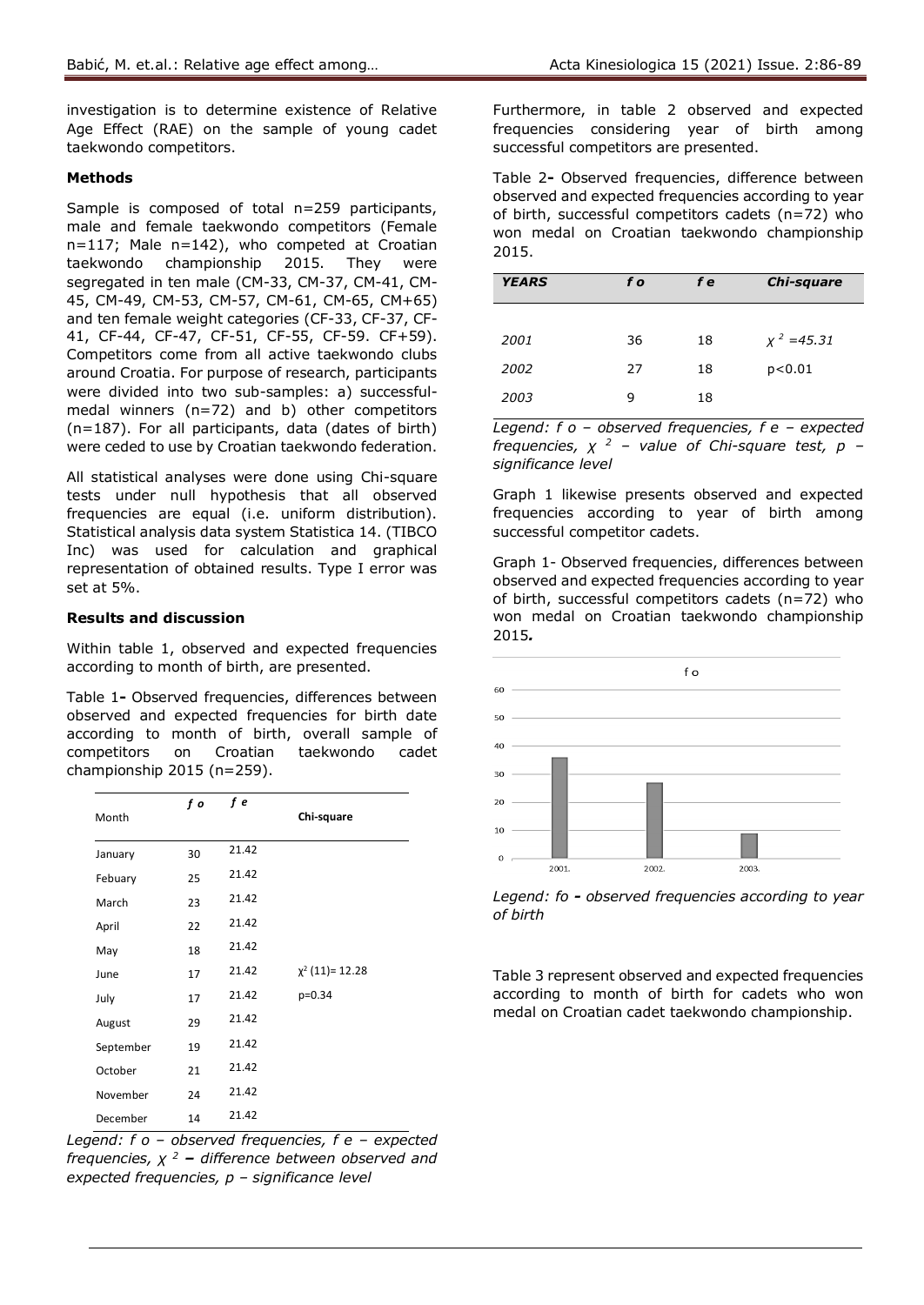investigation is to determine existence of Relative Age Effect (RAE) on the sample of young cadet taekwondo competitors.

### **Methods**

Sample is composed of total n=259 participants, male and female taekwondo competitors (Female n=117; Male n=142), who competed at Croatian taekwondo championship 2015. They were segregated in ten male (CM-33, CM-37, CM-41, CM-45, CM-49, CM-53, CM-57, CM-61, CM-65, CM+65) and ten female weight categories (CF-33, CF-37, CF-41, CF-44, CF-47, CF-51, CF-55, CF-59. CF+59). Competitors come from all active taekwondo clubs around Croatia. For purpose of research, participants were divided into two sub-samples: a) successfulmedal winners (n=72) and b) other competitors (n=187). For all participants, data (dates of birth) were ceded to use by Croatian taekwondo federation.

All statistical analyses were done using Chi-square tests under null hypothesis that all observed frequencies are equal (i.e. uniform distribution). Statistical analysis data system Statistica 14. (TIBCO Inc) was used for calculation and graphical representation of obtained results. Type I error was set at 5%.

## **Results and discussion**

Within table 1, observed and expected frequencies according to month of birth, are presented.

Table 1**-** Observed frequencies, differences between observed and expected frequencies for birth date according to month of birth, overall sample of competitors on Croatian taekwondo cadet championship 2015 (n=259).

|           | f o | f e   |                      |
|-----------|-----|-------|----------------------|
| Month     |     |       | Chi-square           |
| January   | 30  | 21.42 |                      |
| Febuary   | 25  | 21.42 |                      |
| March     | 23  | 21.42 |                      |
| April     | 22  | 21.42 |                      |
| May       | 18  | 21.42 |                      |
| June      | 17  | 21.42 | $\chi^2$ (11)= 12.28 |
| July      | 17  | 21.42 | p=0.34               |
| August    | 29  | 21.42 |                      |
| September | 19  | 21.42 |                      |
| October   | 21  | 21.42 |                      |
| November  | 24  | 21.42 |                      |
| December  | 14  | 21.42 |                      |

*Legend: f o – observed frequencies, f e – expected frequencies, χ <sup>2</sup> – difference between observed and expected frequencies, p – significance level*

Furthermore, in table 2 observed and expected frequencies considering year of birth among successful competitors are presented.

Table 2**-** Observed frequencies, difference between observed and expected frequencies according to year of birth, successful competitors cadets (n=72) who won medal on Croatian taekwondo championship 2015.

| <b>YEARS</b> | f o | f e | Chi-square    |
|--------------|-----|-----|---------------|
|              |     |     |               |
| 2001         | 36  | 18  | $x^2 = 45.31$ |
| 2002         | 27  | 18  | p < 0.01      |
| 2003         | 9   | 18  |               |

*Legend: f o – observed frequencies, f e – expected frequencies, χ <sup>2</sup> – value of Chi-square test, p – significance level*

Graph 1 likewise presents observed and expected frequencies according to year of birth among successful competitor cadets.

Graph 1- Observed frequencies, differences between observed and expected frequencies according to year of birth, successful competitors cadets (n=72) who won medal on Croatian taekwondo championship 2015*.*



*Legend: fo - observed frequencies according to year of birth*

Table 3 represent observed and expected frequencies according to month of birth for cadets who won medal on Croatian cadet taekwondo championship.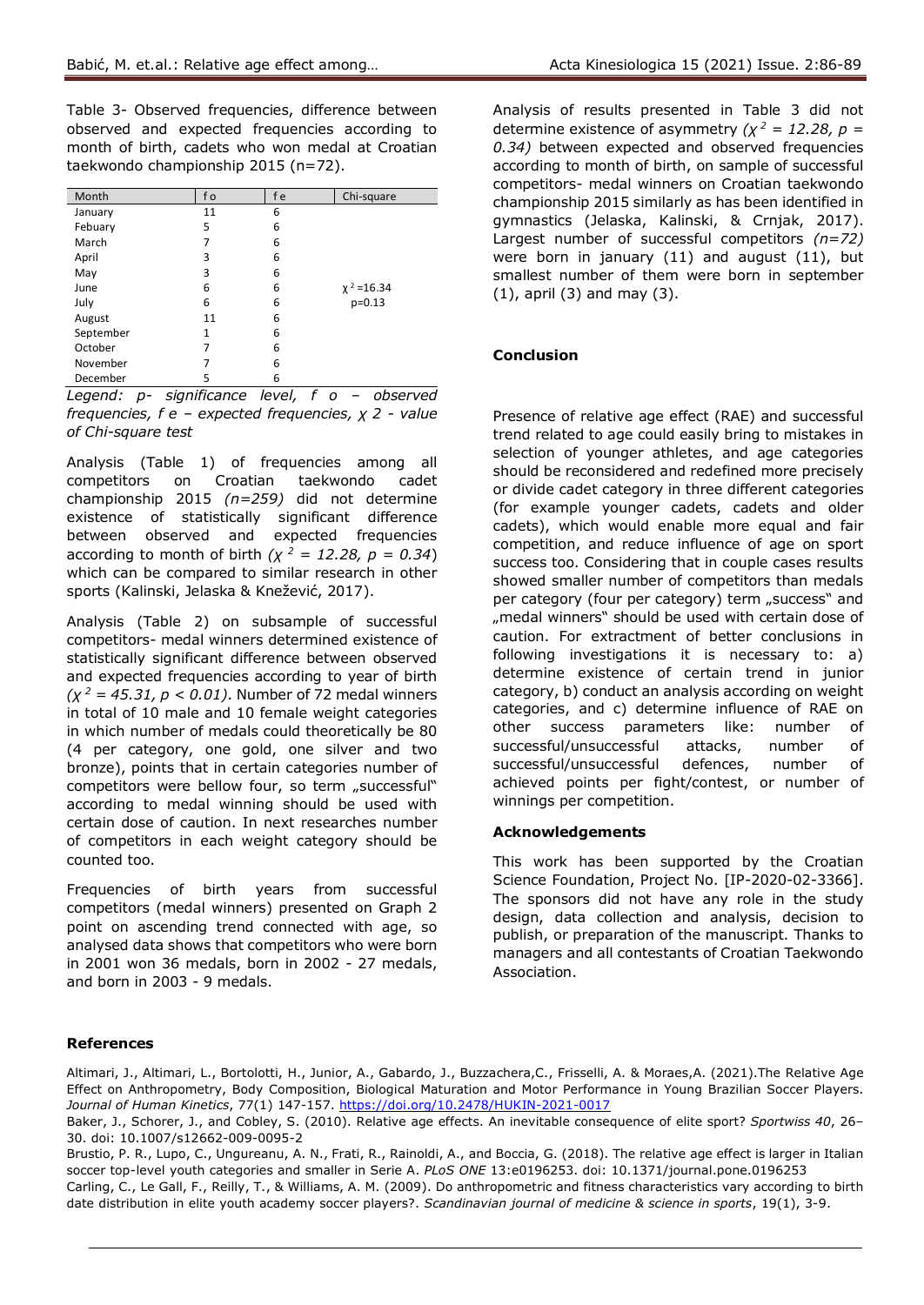Table 3- Observed frequencies, difference between observed and expected frequencies according to month of birth, cadets who won medal at Croatian taekwondo championship 2015 (n=72).

| Month     | f o | f e | Chi-square      |
|-----------|-----|-----|-----------------|
| January   | 11  | 6   |                 |
| Febuary   | 5   | 6   |                 |
| March     | 7   | 6   |                 |
| April     | 3   | 6   |                 |
| May       | 3   | 6   |                 |
| June      | 6   | 6   | $\chi^2$ =16.34 |
| July      | 6   | 6   | $p=0.13$        |
| August    | 11  | 6   |                 |
| September | 1   | 6   |                 |
| October   | 7   | 6   |                 |
| November  |     | 6   |                 |
| December  | 5   | 6   |                 |

*Legend: p- significance level, f o – observed frequencies, f e – expected frequencies, χ 2 - value of Chi-square test*

Analysis (Table 1) of frequencies among all competitors on Croatian taekwondo cadet championship 2015 *(n=259)* did not determine existence of statistically significant difference between observed and expected frequencies according to month of birth  $(\chi^2 = 12.28, p = 0.34)$ which can be compared to similar research in other sports (Kalinski, Jelaska & Knežević, 2017).

Analysis (Table 2) on subsample of successful competitors- medal winners determined existence of statistically significant difference between observed and expected frequencies according to year of birth *(χ <sup>2</sup> = 45.31, p < 0.01)*. Number of 72 medal winners in total of 10 male and 10 female weight categories in which number of medals could theoretically be 80 (4 per category, one gold, one silver and two bronze), points that in certain categories number of competitors were bellow four, so term "successful" according to medal winning should be used with certain dose of caution. In next researches number of competitors in each weight category should be counted too.

Frequencies of birth years from successful competitors (medal winners) presented on Graph 2 point on ascending trend connected with age, so analysed data shows that competitors who were born in 2001 won 36 medals, born in 2002 - 27 medals, and born in 2003 - 9 medals.

Analysis of results presented in Table 3 did not determine existence of asymmetry  $(\chi^2 = 12.28, p =$ *0.34)* between expected and observed frequencies according to month of birth, on sample of successful competitors- medal winners on Croatian taekwondo championship 2015 similarly as has been identified in gymnastics (Jelaska, Kalinski, & Crnjak, 2017). Largest number of successful competitors *(n=72)* were born in january (11) and august (11), but smallest number of them were born in september (1), april (3) and may (3).

## **Conclusion**

Presence of relative age effect (RAE) and successful trend related to age could easily bring to mistakes in selection of younger athletes, and age categories should be reconsidered and redefined more precisely or divide cadet category in three different categories (for example younger cadets, cadets and older cadets), which would enable more equal and fair competition, and reduce influence of age on sport success too. Considering that in couple cases results showed smaller number of competitors than medals per category (four per category) term "success" and "medal winners" should be used with certain dose of caution. For extractment of better conclusions in following investigations it is necessary to: a) determine existence of certain trend in junior category, b) conduct an analysis according on weight categories, and c) determine influence of RAE on other success parameters like: number of successful/unsuccessful attacks, number of successful/unsuccessful defences, number of achieved points per fight/contest, or number of winnings per competition.

#### **Acknowledgements**

This work has been supported by the Croatian Science Foundation, Project No. [IP-2020-02-3366]. The sponsors did not have any role in the study design, data collection and analysis, decision to publish, or preparation of the manuscript. Thanks to managers and all contestants of Croatian Taekwondo Association.

#### **References**

Altimari, J., Altimari, L., Bortolotti, H., Junior, A., Gabardo, J., Buzzachera,C., Frisselli, A. & Moraes,A. (2021).The Relative Age Effect on Anthropometry, Body Composition, Biological Maturation and Motor Performance in Young Brazilian Soccer Players. *Journal of Human Kinetics*, 77(1) 147-157. <https://doi.org/10.2478/HUKIN-2021-0017>

Baker, J., Schorer, J., and Cobley, S. (2010). Relative age effects. An inevitable consequence of elite sport? *Sportwiss 40*, 26– 30. doi: 10.1007/s12662-009-0095-2

Brustio, P. R., Lupo, C., Ungureanu, A. N., Frati, R., Rainoldi, A., and Boccia, G. (2018). The relative age effect is larger in Italian soccer top-level youth categories and smaller in Serie A. *PLoS ONE* 13:e0196253. doi: 10.1371/journal.pone.0196253 Carling, C., Le Gall, F., Reilly, T., & Williams, A. M. (2009). Do anthropometric and fitness characteristics vary according to birth

date distribution in elite youth academy soccer players?. *Scandinavian journal of medicine & science in sports*, 19(1), 3-9.